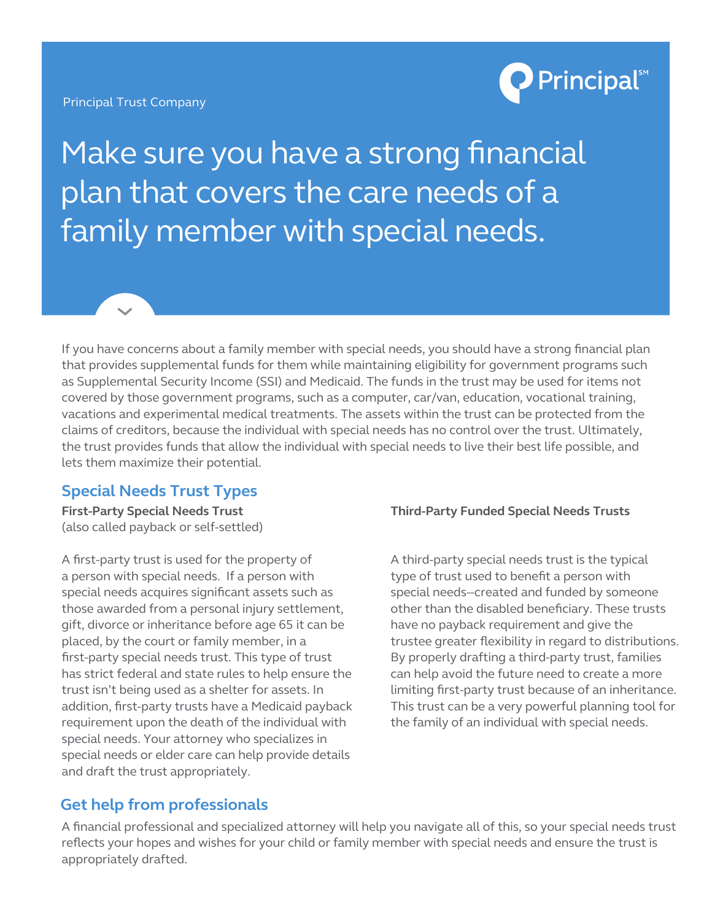Principal Trust Company



Make sure you have a strong financial plan that covers the care needs of a family member with special needs.

If you have concerns about a family member with special needs, you should have a strong financial plan that provides supplemental funds for them while maintaining eligibility for government programs such as Supplemental Security Income (SSI) and Medicaid. The funds in the trust may be used for items not covered by those government programs, such as a computer, car/van, education, vocational training, vacations and experimental medical treatments. The assets within the trust can be protected from the claims of creditors, because the individual with special needs has no control over the trust. Ultimately, the trust provides funds that allow the individual with special needs to live their best life possible, and lets them maximize their potential.

## **Special Needs Trust Types**

**First-Party Special Needs Trust** (also called payback or self-settled)

A first-party trust is used for the property of a person with special needs. If a person with special needs acquires significant assets such as those awarded from a personal injury settlement, gift, divorce or inheritance before age 65 it can be placed, by the court or family member, in a first-party special needs trust. This type of trust has strict federal and state rules to help ensure the trust isn't being used as a shelter for assets. In addition, first-party trusts have a Medicaid payback requirement upon the death of the individual with special needs. Your attorney who specializes in special needs or elder care can help provide details and draft the trust appropriately.

## **Third-Party Funded Special Needs Trusts**

A third-party special needs trust is the typical type of trust used to benefit a person with special needs--created and funded by someone other than the disabled beneficiary. These trusts have no payback requirement and give the trustee greater flexibility in regard to distributions. By properly drafting a third-party trust, families can help avoid the future need to create a more limiting first-party trust because of an inheritance. This trust can be a very powerful planning tool for the family of an individual with special needs.

## **Get help from professionals**

A financial professional and specialized attorney will help you navigate all of this, so your special needs trust reflects your hopes and wishes for your child or family member with special needs and ensure the trust is appropriately drafted.